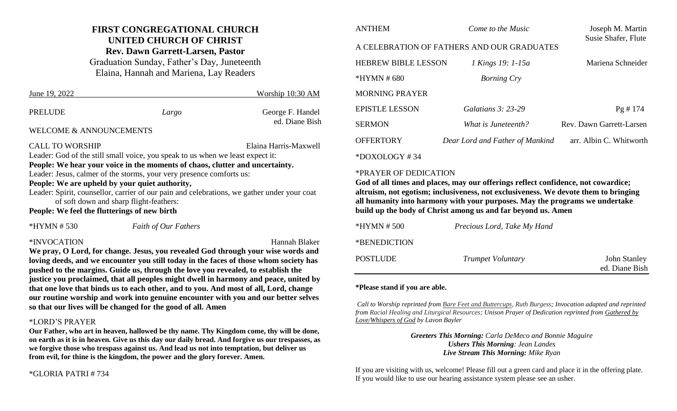### **FIRST CONGREGATIONAL CHURCH UNITED CHURCH OF CHRIST Rev. Dawn Garrett-Larsen, Pastor**

Graduation Sunday, Father's Day, Juneteenth Elaina, Hannah and Mariena, Lay Readers

| June 19, 2022                                                                                                                                                                            |       | Worship 10:30 AM                   |  |  |
|------------------------------------------------------------------------------------------------------------------------------------------------------------------------------------------|-------|------------------------------------|--|--|
| <b>PRELUDE</b>                                                                                                                                                                           | Largo | George F. Handel<br>ed. Diane Bish |  |  |
| <b>WELCOME &amp; ANNOUNCEMENTS</b>                                                                                                                                                       |       |                                    |  |  |
| <b>CALL TO WORSHIP</b><br>Leader: God of the still small voice, you speak to us when we least expect it:<br>People: We hear your voice in the moments of chaos, clutter and uncertainty. |       | Elaina Harris-Maxwell              |  |  |
| Leader: Jesus, calmer of the storms, your very presence comforts us:                                                                                                                     |       |                                    |  |  |
| People: We are upheld by your quiet authority,                                                                                                                                           |       |                                    |  |  |
| Leader: Spirit, counsellor, carrier of our pain and celebrations, we gather under your coat                                                                                              |       |                                    |  |  |
| of soft down and sharp flight-feathers:                                                                                                                                                  |       |                                    |  |  |
| People: We feel the flutterings of new birth                                                                                                                                             |       |                                    |  |  |

\*HYMN # 530 *Faith of Our Fathers*

#### \*INVOCATION Hannah Blaker

**We pray, O Lord, for change. Jesus, you revealed God through your wise words and loving deeds, and we encounter you still today in the faces of those whom society has pushed to the margins. Guide us, through the love you revealed, to establish the justice you proclaimed, that all peoples might dwell in harmony and peace, united by that one love that binds us to each other, and to you. And most of all, Lord, change our routine worship and work into genuine encounter with you and our better selves so that our lives will be changed for the good of all. Amen**

#### \*LORD'S PRAYER

**Our Father, who art in heaven, hallowed be thy name. Thy Kingdom come, thy will be done, on earth as it is in heaven. Give us this day our daily bread. And forgive us our trespasses, as we forgive those who trespass against us. And lead us not into temptation, but deliver us from evil, for thine is the kingdom, the power and the glory forever. Amen.**

#### \*GLORIA PATRI # 734

| <b>ANTHEM</b>                              | Come to the Music               | Joseph M. Martin<br>Susie Shafer, Flute |  |  |
|--------------------------------------------|---------------------------------|-----------------------------------------|--|--|
| A CELEBRATION OF FATHERS AND OUR GRADUATES |                                 |                                         |  |  |
| <b>HEBREW BIBLE LESSON</b>                 | 1 Kings 19: 1-15a               | Mariena Schneider                       |  |  |
| $*HYMN \# 680$                             | <b>Borning Cry</b>              |                                         |  |  |
| <b>MORNING PRAYER</b>                      |                                 |                                         |  |  |
| <b>EPISTLE LESSON</b>                      | <i>Galatians 3: 23-29</i>       | Pg # 174                                |  |  |
| <b>SERMON</b>                              | What is Juneteenth?             | Rev. Dawn Garrett-Larsen                |  |  |
| <b>OFFERTORY</b>                           | Dear Lord and Father of Mankind | arr. Albin C. Whitworth                 |  |  |

\*DOXOLOGY # 34

#### \*PRAYER OF DEDICATION

**God of all times and places, may our offerings reflect confidence, not cowardice; altruism, not egotism; inclusiveness, not exclusiveness. We devote them to bringing all humanity into harmony with your purposes. May the programs we undertake build up the body of Christ among us and far beyond us. Amen**

| *HYMN # 500  | Precious Lord, Take My Hand |                                       |
|--------------|-----------------------------|---------------------------------------|
| *BENEDICTION |                             |                                       |
| POSTLUDE     | <i>Trumpet Voluntary</i>    | <b>John Stanley</b><br>ed. Diane Bish |

#### **\*Please stand if you are able.**

*Call to Worship reprinted from Bare Feet and Buttercups, Ruth Burgess; Invocation adapted and reprinted from Racial Healing and Liturgical Resources; Unison Prayer of Dedication reprinted from Gathered by Love/Whispers of God by Lavon Bayler*

> *Greeters This Morning: Carla DeMeco and Bonnie Maguire Ushers This Morning: Jean Landes Live Stream This Morning: Mike Ryan*

If you are visiting with us, welcome! Please fill out a green card and place it in the offering plate. If you would like to use our hearing assistance system please see an usher.